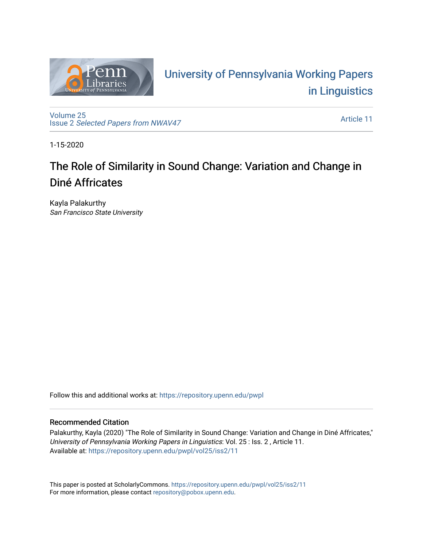

# University of P[ennsylvania Working P](https://repository.upenn.edu/pwpl)apers [in Linguistics](https://repository.upenn.edu/pwpl)

[Volume 25](https://repository.upenn.edu/pwpl/vol25) Issue 2 [Selected Papers from NWAV47](https://repository.upenn.edu/pwpl/vol25/iss2)

[Article 11](https://repository.upenn.edu/pwpl/vol25/iss2/11) 

1-15-2020

# The Role of Similarity in Sound Change: Variation and Change in Diné Affricates

Kayla Palakurthy San Francisco State University

Follow this and additional works at: [https://repository.upenn.edu/pwpl](https://repository.upenn.edu/pwpl?utm_source=repository.upenn.edu%2Fpwpl%2Fvol25%2Fiss2%2F11&utm_medium=PDF&utm_campaign=PDFCoverPages) 

# Recommended Citation

Palakurthy, Kayla (2020) "The Role of Similarity in Sound Change: Variation and Change in Diné Affricates," University of Pennsylvania Working Papers in Linguistics: Vol. 25 : Iss. 2 , Article 11. Available at: [https://repository.upenn.edu/pwpl/vol25/iss2/11](https://repository.upenn.edu/pwpl/vol25/iss2/11?utm_source=repository.upenn.edu%2Fpwpl%2Fvol25%2Fiss2%2F11&utm_medium=PDF&utm_campaign=PDFCoverPages)

This paper is posted at ScholarlyCommons.<https://repository.upenn.edu/pwpl/vol25/iss2/11> For more information, please contact [repository@pobox.upenn.edu.](mailto:repository@pobox.upenn.edu)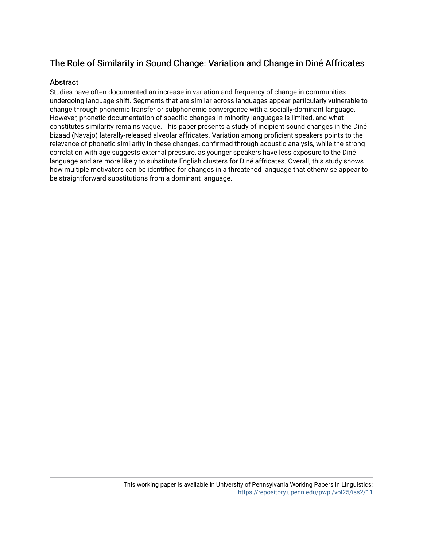# The Role of Similarity in Sound Change: Variation and Change in Diné Affricates

# **Abstract**

Studies have often documented an increase in variation and frequency of change in communities undergoing language shift. Segments that are similar across languages appear particularly vulnerable to change through phonemic transfer or subphonemic convergence with a socially-dominant language. However, phonetic documentation of specific changes in minority languages is limited, and what constitutes similarity remains vague. This paper presents a study of incipient sound changes in the Diné bizaad (Navajo) laterally-released alveolar affricates. Variation among proficient speakers points to the relevance of phonetic similarity in these changes, confirmed through acoustic analysis, while the strong correlation with age suggests external pressure, as younger speakers have less exposure to the Diné language and are more likely to substitute English clusters for Diné affricates. Overall, this study shows how multiple motivators can be identified for changes in a threatened language that otherwise appear to be straightforward substitutions from a dominant language.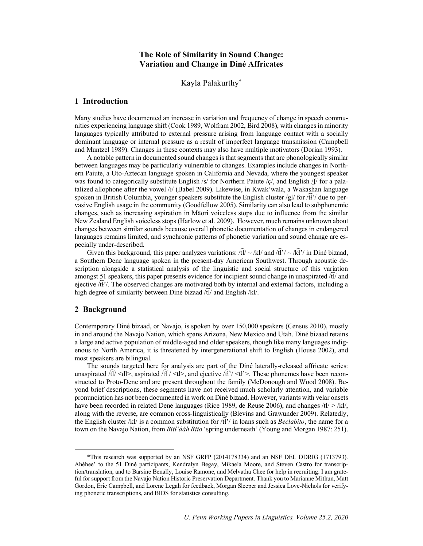# **The Role of Similarity in Sound Change: Variation and Change in Diné Affricates**

Kayla Palakurthy\*

### **1 Introduction**

Many studies have documented an increase in variation and frequency of change in speech communities experiencing language shift (Cook 1989, Wolfram 2002, Bird 2008), with changes in minority languages typically attributed to external pressure arising from language contact with a socially dominant language or internal pressure as a result of imperfect language transmission (Campbell and Muntzel 1989). Changes in these contexts may also have multiple motivators (Dorian 1993).

A notable pattern in documented sound changes is that segments that are phonologically similar between languages may be particularly vulnerable to changes. Examples include changes in Northern Paiute, a Uto-Aztecan language spoken in California and Nevada, where the youngest speaker was found to categorically substitute English /s/ for Northern Paiute /ç/, and English /ʃ/ for a palatalized allophone after the vowel /i/ (Babel 2009). Likewise, in Kwak'wala, a Wakashan language spoken in British Columbia, younger speakers substitute the English cluster /gl/ for  $\sqrt{\pi}$ ?/ due to pervasive English usage in the community (Goodfellow 2005). Similarity can also lead to subphonemic changes, such as increasing aspiration in Māori voiceless stops due to influence from the similar New Zealand English voiceless stops (Harlow et al. 2009). However, much remains unknown about changes between similar sounds because overall phonetic documentation of changes in endangered languages remains limited, and synchronic patterns of phonetic variation and sound change are especially under-described.

Given this background, this paper analyzes variations:  $\sqrt{t}l' \sim /kl$  and  $\sqrt{t}l' \sim /k\sqrt{k'}$  in Diné bizaad, a Southern Dene language spoken in the present-day American Southwest. Through acoustic description alongside a statistical analysis of the linguistic and social structure of this variation amongst 51 speakers, this paper presents evidence for incipient sound change in unaspirated  $\partial \hat{U}$  and ejective  $\widehat{H'}$ . The observed changes are motivated both by internal and external factors, including a high degree of similarity between Diné bizaad /t ͡l/ and English /kl/.

#### **2 Background**

Contemporary Diné bizaad, or Navajo, is spoken by over 150,000 speakers (Census 2010), mostly in and around the Navajo Nation, which spans Arizona, New Mexico and Utah. Diné bizaad retains a large and active population of middle-aged and older speakers, though like many languages indigenous to North America, it is threatened by intergenerational shift to English (House 2002), and most speakers are bilingual.

The sounds targeted here for analysis are part of the Diné laterally-released affricate series: unaspirated  $\hat{H}/\langle dl \rangle$ , aspirated  $\hat{H}/\langle tl \rangle$ , and ejective  $\hat{H}/\langle tl \rangle$ . These phonemes have been reconstructed to Proto-Dene and are present throughout the family (McDonough and Wood 2008). Beyond brief descriptions, these segments have not received much scholarly attention, and variable pronunciation has not been documented in work on Diné bizaad. However, variants with velar onsets have been recorded in related Dene languages (Rice 1989, de Reuse 2006), and changes /tl/ > /kl/, along with the reverse, are common cross-linguistically (Blevins and Grawunder 2009). Relatedly, the English cluster /kl/ is a common substitution for  $\widehat{H'}$  in loans such as *Beclabito*, the name for a town on the Navajo Nation, from *Bitɬ'ááh Bito* 'spring underneath' (Young and Morgan 1987: 251).

 <sup>\*</sup>This research was supported by an NSF GRFP (2014178334) and an NSF DEL DDRIG (1713793). Ahéhee' to the 51 Diné participants, Kendralyn Begay, Mikaela Moore, and Steven Castro for transcription/translation, and to Barsine Benally, Louise Ramone, and Melvatha Chee for help in recruiting. I am grateful for support from the Navajo Nation Historic Preservation Department. Thank you to Marianne Mithun, Matt Gordon, Eric Campbell, and Lorene Legah for feedback, Morgan Sleeper and Jessica Love-Nichols for verifying phonetic transcriptions, and BIDS for statistics consulting.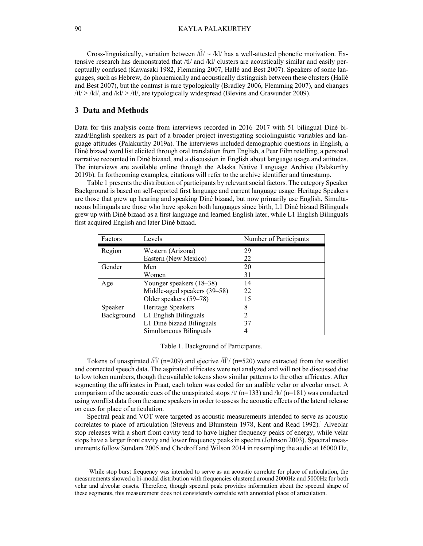Cross-linguistically, variation between  $\widehat{fU} \sim /kl$  has a well-attested phonetic motivation. Extensive research has demonstrated that /tl/ and /kl/ clusters are acoustically similar and easily perceptually confused (Kawasaki 1982, Flemming 2007, Hallé and Best 2007). Speakers of some languages, such as Hebrew, do phonemically and acoustically distinguish between these clusters (Hallé and Best 2007), but the contrast is rare typologically (Bradley 2006, Flemming 2007), and changes  $/tl$  > /kl/, and /kl/ > /tl/, are typologically widespread (Blevins and Grawunder 2009).

### **3 Data and Methods**

Data for this analysis come from interviews recorded in 2016–2017 with 51 bilingual Diné bizaad/English speakers as part of a broader project investigating sociolinguistic variables and language attitudes (Palakurthy 2019a). The interviews included demographic questions in English, a Diné bizaad word list elicited through oral translation from English, a Pear Film retelling, a personal narrative recounted in Diné bizaad, and a discussion in English about language usage and attitudes. The interviews are available online through the Alaska Native Language Archive (Palakurthy 2019b). In forthcoming examples, citations will refer to the archive identifier and timestamp.

Table 1 presents the distribution of participants by relevant social factors. The category Speaker Background is based on self-reported first language and current language usage: Heritage Speakers are those that grew up hearing and speaking Diné bizaad, but now primarily use English, Simultaneous bilinguals are those who have spoken both languages since birth, L1 Diné bizaad Bilinguals grew up with Diné bizaad as a first language and learned English later, while L1 English Bilinguals first acquired English and later Diné bizaad.

| Factors    | Levels                       | Number of Participants |
|------------|------------------------------|------------------------|
| Region     | Western (Arizona)            | 29                     |
|            | Eastern (New Mexico)         | 22                     |
| Gender     | Men                          | 20                     |
|            | Women                        | 31                     |
| Age        | Younger speakers (18–38)     | 14                     |
|            | Middle-aged speakers (39–58) | 22                     |
|            | Older speakers (59-78)       | 15                     |
| Speaker    | Heritage Speakers            | 8                      |
| Background | L1 English Bilinguals        | 2                      |
|            | L1 Diné bizaad Bilinguals    | 37                     |
|            | Simultaneous Bilinguals      |                        |

#### Table 1. Background of Participants.

Tokens of unaspirated  $\sqrt{t}$  (n=209) and ejective  $\sqrt{t}$  (n=520) were extracted from the wordlist and connected speech data. The aspirated affricates were not analyzed and will not be discussed due to low token numbers, though the available tokens show similar patterns to the other affricates. After segmenting the affricates in Praat, each token was coded for an audible velar or alveolar onset. A comparison of the acoustic cues of the unaspirated stops  $/t/(n=133)$  and  $/k/(n=181)$  was conducted using wordlist data from the same speakers in order to assess the acoustic effects of the lateral release on cues for place of articulation.

Spectral peak and VOT were targeted as acoustic measurements intended to serve as acoustic correlates to place of articulation (Stevens and Blumstein 1978, Kent and Read 1992).<sup>1</sup> Alveolar stop releases with a short front cavity tend to have higher frequency peaks of energy, while velar stops have a larger front cavity and lower frequency peaks in spectra (Johnson 2003). Spectral measurements follow Sundara 2005 and Chodroff and Wilson 2014 in resampling the audio at 16000 Hz,

<sup>&</sup>lt;sup>1</sup>While stop burst frequency was intended to serve as an acoustic correlate for place of articulation, the measurements showed a bi-modal distribution with frequencies clustered around 2000Hz and 5000Hz for both velar and alveolar onsets. Therefore, though spectral peak provides information about the spectral shape of these segments, this measurement does not consistently correlate with annotated place of articulation.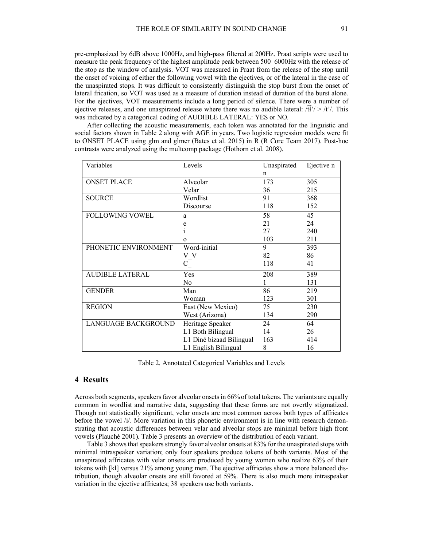pre-emphasized by 6dB above 1000Hz, and high-pass filtered at 200Hz. Praat scripts were used to measure the peak frequency of the highest amplitude peak between 500–6000Hz with the release of the stop as the window of analysis. VOT was measured in Praat from the release of the stop until the onset of voicing of either the following vowel with the ejectives, or of the lateral in the case of the unaspirated stops. It was difficult to consistently distinguish the stop burst from the onset of lateral frication, so VOT was used as a measure of duration instead of duration of the burst alone. For the ejectives, VOT measurements include a long period of silence. There were a number of ejective releases, and one unaspirated release where there was no audible lateral:  $\langle \hat{H}^2 \rangle > \langle t \rangle$ . This was indicated by a categorical coding of AUDIBLE LATERAL: YES or NO.

After collecting the acoustic measurements, each token was annotated for the linguistic and social factors shown in Table 2 along with AGE in years. Two logistic regression models were fit to ONSET PLACE using glm and glmer (Bates et al. 2015) in R (R Core Team 2017). Post-hoc contrasts were analyzed using the multcomp package (Hothorn et al. 2008).

| Variables              | Levels                   | Unaspirated | Ejective n |
|------------------------|--------------------------|-------------|------------|
|                        |                          | n           |            |
| <b>ONSET PLACE</b>     | Alveolar                 | 173         | 305        |
|                        | Velar                    | 36          | 215        |
| <b>SOURCE</b>          | Wordlist                 | 91          | 368        |
|                        | Discourse                | 118         | 152        |
| <b>FOLLOWING VOWEL</b> | a                        | 58          | 45         |
|                        | e                        | 21          | 24         |
|                        | 1                        | 27          | 240        |
|                        | $\Omega$                 | 103         | 211        |
| PHONETIC ENVIRONMENT   | Word-initial             | 9           | 393        |
|                        | $V_{N}$                  | 82          | 86         |
|                        | $C_{\perp}$              | 118         | 41         |
| <b>AUDIBLE LATERAL</b> | Yes                      | 208         | 389        |
|                        | No.                      |             | 131        |
| <b>GENDER</b>          | Man                      | 86          | 219        |
|                        | Woman                    | 123         | 301        |
| <b>REGION</b>          | East (New Mexico)        | 75          | 230        |
|                        | West (Arizona)           | 134         | 290        |
| LANGUAGE BACKGROUND    | Heritage Speaker         | 24          | 64         |
|                        | L1 Both Bilingual        | 14          | 26         |
|                        | L1 Diné bizaad Bilingual | 163         | 414        |
|                        | L1 English Bilingual     | 8           | 16         |

Table 2. Annotated Categorical Variables and Levels

### **4 Results**

Across both segments, speakers favor alveolar onsets in 66% of total tokens. The variants are equally common in wordlist and narrative data, suggesting that these forms are not overtly stigmatized. Though not statistically significant, velar onsets are most common across both types of affricates before the vowel /i/. More variation in this phonetic environment is in line with research demonstrating that acoustic differences between velar and alveolar stops are minimal before high front vowels (Plauché 2001). Table 3 presents an overview of the distribution of each variant.

Table 3 shows that speakers strongly favor alveolar onsets at 83% for the unaspirated stops with minimal intraspeaker variation; only four speakers produce tokens of both variants. Most of the unaspirated affricates with velar onsets are produced by young women who realize 63% of their tokens with [kl] versus 21% among young men. The ejective affricates show a more balanced distribution, though alveolar onsets are still favored at 59%. There is also much more intraspeaker variation in the ejective affricates; 38 speakers use both variants.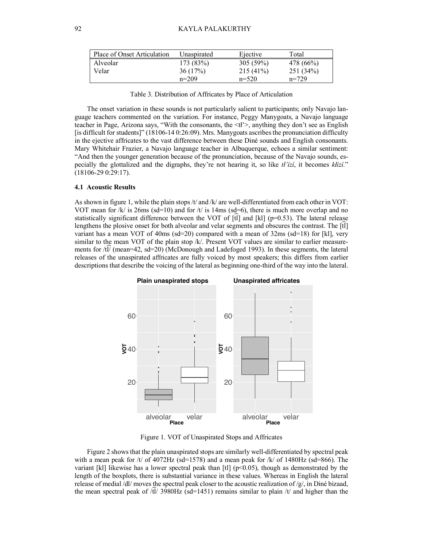| Place of Onset Articulation | Unaspirated | Ejective    | Total     |
|-----------------------------|-------------|-------------|-----------|
| Alveolar                    | 173(83%)    | $305(59\%)$ | 478 (66%) |
| Velar                       | 36(17%)     | $215(41\%)$ | 251(34%)  |
|                             | $n=209$     | $n=520$     | $n=729$   |

Table 3. Distribution of Affricates by Place of Articulation

The onset variation in these sounds is not particularly salient to participants; only Navajo language teachers commented on the variation. For instance, Peggy Manygoats, a Navajo language teacher in Page, Arizona says, "With the consonants, the <tł'>, anything they don't see as English [is difficult for students]" (18106-14 0:26:09). Mrs. Manygoats ascribes the pronunciation difficulty in the ejective affricates to the vast difference between these Diné sounds and English consonants. Mary Whitehair Frazier, a Navajo language teacher in Albuquerque, echoes a similar sentiment: "And then the younger generation because of the pronunciation, because of the Navajo sounds, especially the glottalized and the digraphs, they're not hearing it, so like *tł'ízí*, it becomes *kłízí.*" (18106-29 0:29:17).

#### **4.1 Acoustic Results**

As shown in figure 1, while the plain stops /t/ and /k/ are well-differentiated from each other in VOT: VOT mean for /k/ is 26ms (sd=10) and for /t/ is 14ms (sd=6), there is much more overlap and no statistically significant difference between the VOT of [tt] and [kl] (p=0.53). The lateral release lengthens the plosive onset for both alveolar and velar segments and obscures the contrast. The  $[\hat{t}]$ variant has a mean VOT of  $40\text{ms}$  (sd=20) compared with a mean of  $32\text{ms}$  (sd=18) for [kl], very similar to the mean VOT of the plain stop /k/. Present VOT values are similar to earlier measurements for  $\widehat{\text{t1}}$  (mean=42, sd=20) (McDonough and Ladefoged 1993). In these segments, the lateral releases of the unaspirated affricates are fully voiced by most speakers; this differs from earlier descriptions that describe the voicing of the lateral as beginning one-third of the way into the lateral.



Figure 1. VOT of Unaspirated Stops and Affricates

Figure 2 shows that the plain unaspirated stops are similarly well-differentiated by spectral peak with a mean peak for  $/t/$  of 4072Hz (sd=1578) and a mean peak for  $/k/$  of 1480Hz (sd=866). The variant [kl] likewise has a lower spectral peak than [tl] ( $p<0.05$ ), though as demonstrated by the length of the boxplots, there is substantial variance in these values. Whereas in English the lateral release of medial /dl/ moves the spectral peak closer to the acoustic realization of /g/, in Diné bizaad, the mean spectral peak of  $\sqrt{t}$  3980Hz (sd=1451) remains similar to plain /t/ and higher than the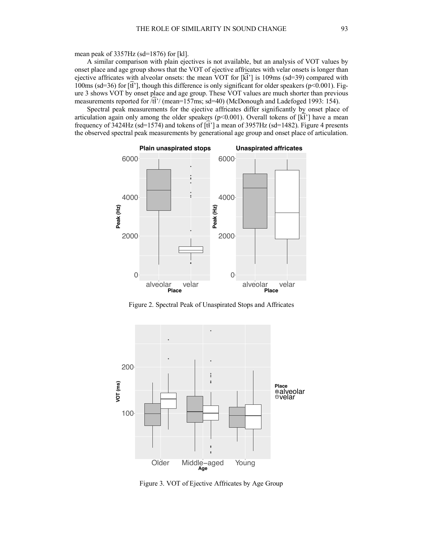mean peak of 3357Hz (sd=1876) for [kl].

A similar comparison with plain ejectives is not available, but an analysis of VOT values by onset place and age group shows that the VOT of ejective affricates with velar onsets is longer than ejective affricates with alveolar onsets: the mean VOT for  $[\widehat{k}^2]$  is 109ms (sd=39) compared with 100ms (sd=36) for  $[\hat{t}^T]$ , though this difference is only significant for older speakers (p<0.001). Figure 3 shows VOT by onset place and age group. These VOT values are much shorter than previous measurements reported for  $\hat{\vec{R}}$ '/ (mean=157ms; sd=40) (McDonough and Ladefoged 1993: 154).

Spectral peak measurements for the ejective affricates differ significantly by onset place of articulation again only among the older speakers (p<0.001). Overall tokens of  $[\hat{\vec{k}}^{\gamma}]$  have a mean frequency of  $\overline{3424\text{Hz}}$  (sd=1574) and tokens of  $[\overline{t}^2]$  a mean of 3957Hz (sd=1482). Figure 4 presents the observed spectral peak measurements by generational age group and onset place of articulation.



Figure 2. Spectral Peak of Unaspirated Stops and Affricates



Figure 3. VOT of Ejective Affricates by Age Group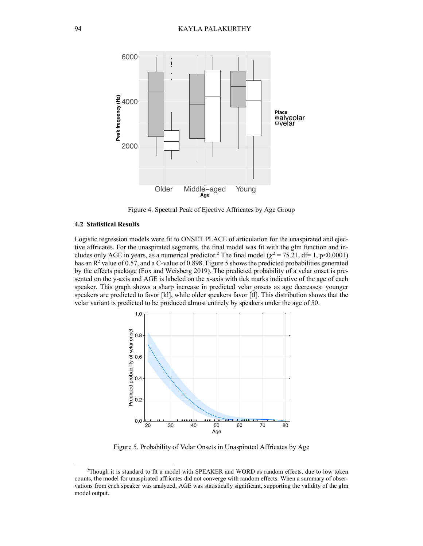

Figure 4. Spectral Peak of Ejective Affricates by Age Group

#### **4.2 Statistical Results**

Logistic regression models were fit to ONSET PLACE of articulation for the unaspirated and ejective affricates. For the unaspirated segments, the final model was fit with the glm function and includes only AGE in years, as a numerical predictor.<sup>2</sup> The final model ( $\chi^2$  = 75.21, df= 1, p<0.0001) has an  $\mathbb{R}^2$  value of 0.57, and a C-value of 0.898. Figure 5 shows the predicted probabilities generated by the effects package (Fox and Weisberg 2019). The predicted probability of a velar onset is presented on the y-axis and AGE is labeled on the x-axis with tick marks indicative of the age of each speaker. This graph shows a sharp increase in predicted velar onsets as age decreases: younger speakers are predicted to favor [kl], while older speakers favor [t͡l]. This distribution shows that the velar variant is predicted to be produced almost entirely by speakers under the age of 50.



Figure 5. Probability of Velar Onsets in Unaspirated Affricates by Age

 <sup>2</sup>Though it is standard to fit a model with SPEAKER and WORD as random effects, due to low token counts, the model for unaspirated affricates did not converge with random effects. When a summary of observations from each speaker was analyzed, AGE was statistically significant, supporting the validity of the glm model output.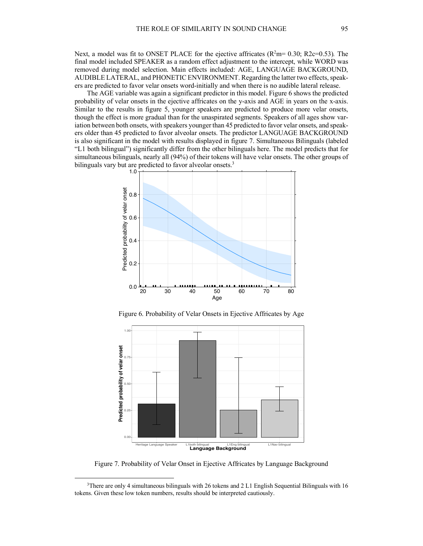Next, a model was fit to ONSET PLACE for the ejective affricates (R<sup>2</sup>m= 0.30; R2c=0.53). The final model included SPEAKER as a random effect adjustment to the intercept, while WORD was removed during model selection. Main effects included: AGE, LANGUAGE BACKGROUND, AUDIBLE LATERAL, and PHONETIC ENVIRONMENT. Regarding the latter two effects, speakers are predicted to favor velar onsets word-initially and when there is no audible lateral release.

The AGE variable was again a significant predictor in this model. Figure 6 shows the predicted probability of velar onsets in the ejective affricates on the y-axis and AGE in years on the x-axis. Similar to the results in figure 5, younger speakers are predicted to produce more velar onsets, though the effect is more gradual than for the unaspirated segments. Speakers of all ages show variation between both onsets, with speakers younger than 45 predicted to favor velar onsets, and speakers older than 45 predicted to favor alveolar onsets. The predictor LANGUAGE BACKGROUND is also significant in the model with results displayed in figure 7. Simultaneous Bilinguals (labeled "L1 both bilingual") significantly differ from the other bilinguals here. The model predicts that for simultaneous bilinguals, nearly all (94%) of their tokens will have velar onsets. The other groups of bilinguals vary but are predicted to favor alveolar onsets.<sup>3</sup>



Figure 6. Probability of Velar Onsets in Ejective Affricates by Age



Figure 7. Probability of Velar Onset in Ejective Affricates by Language Background

 <sup>3</sup>There are only 4 simultaneous bilinguals with 26 tokens and 2 L1 English Sequential Bilinguals with 16 tokens. Given these low token numbers, results should be interpreted cautiously.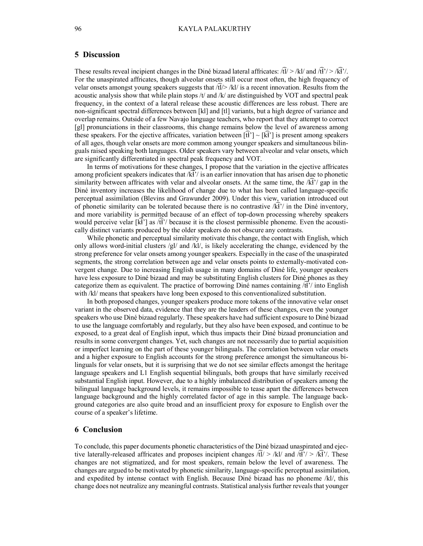# **5 Discussion**

These results reveal incipient changes in the Diné bizaad lateral affricates:  $\frac{\partial \vec{U}}{\partial t}$  /kl/ and  $\frac{\partial \vec{V}}{\partial t}$  / $\frac{\partial \vec{V}}{\partial t}$ . For the unaspirated affricates, though alveolar onsets still occur most often, the high frequency of velar onsets amongst young speakers suggests that  $\sqrt{t}$  /kl/ is a recent innovation. Results from the acoustic analysis show that while plain stops  $/t$  and  $/k$  are distinguished by VOT and spectral peak frequency, in the context of a lateral release these acoustic differences are less robust. There are non-significant spectral differences between [kl] and [tl] variants, but a high degree of variance and overlap remains. Outside of a few Navajo language teachers, who report that they attempt to correct [gl] pronunciations in their classrooms, this change remains below the level of awareness among these speakers. For the ejective affricates, variation between  $[\hat{H}] \sim [\hat{K}]$  is present among speakers of all ages, though velar onsets are more common among younger speakers and simultaneous bilinguals raised speaking both languages. Older speakers vary between alveolar and velar onsets, which are significantly differentiated in spectral peak frequency and VOT.

In terms of motivations for these changes, I propose that the variation in the ejective affricates among proficient speakers indicates that  $\widehat{K}$  is an earlier innovation that has arisen due to phonetic similarity between affricates with velar and alveolar onsets. At the same time, the  $\sqrt{kT}$  gap in the Diné inventory increases the likelihood of change due to what has been called language-specific perceptual assimilation (Blevins and Grawunder 2009). Under this view, variation introduced out of phonetic similarity can be tolerated because there is no contrastive  $\sqrt{\hat{k}}$ ? in the Diné inventory, and more variability is permitted because of an effect of top-down processing whereby speakers would perceive velar  $[\vec{k}]$  as  $\hat{\vec{R}}$  because it is the closest permissible phoneme. Even the acoustically distinct variants produced by the older speakers do not obscure any contrasts.

While phonetic and perceptual similarity motivate this change, the contact with English, which only allows word-initial clusters  $/gl/$  and  $/kl/$ , is likely accelerating the change, evidenced by the strong preference for velar onsets among younger speakers. Especially in the case of the unaspirated segments, the strong correlation between age and velar onsets points to externally-motivated convergent change. Due to increasing English usage in many domains of Diné life, younger speakers have less exposure to Diné bizaad and may be substituting English clusters for Diné phones as they categorize them as equivalent. The practice of borrowing Diné names containing  $\langle \hat{\vec{R}}' \rangle$  into English with /kl/ means that speakers have long been exposed to this conventionalized substitution.

In both proposed changes, younger speakers produce more tokens of the innovative velar onset variant in the observed data, evidence that they are the leaders of these changes, even the younger speakers who use Diné bizaad regularly. These speakers have had sufficient exposure to Diné bizaad to use the language comfortably and regularly, but they also have been exposed, and continue to be exposed, to a great deal of English input, which thus impacts their Diné bizaad pronunciation and results in some convergent changes. Yet, such changes are not necessarily due to partial acquisition or imperfect learning on the part of these younger bilinguals. The correlation between velar onsets and a higher exposure to English accounts for the strong preference amongst the simultaneous bilinguals for velar onsets, but it is surprising that we do not see similar effects amongst the heritage language speakers and L1 English sequential bilinguals, both groups that have similarly received substantial English input. However, due to a highly imbalanced distribution of speakers among the bilingual language background levels, it remains impossible to tease apart the differences between language background and the highly correlated factor of age in this sample. The language background categories are also quite broad and an insufficient proxy for exposure to English over the course of a speaker's lifetime.

#### **6 Conclusion**

To conclude, this paper documents phonetic characteristics of the Diné bizaad unaspirated and ejective laterally-released affricates and proposes incipient changes  $\hat{dl}$  > /kl/ and  $\hat{dl}$ '/ > /ki<sup>2</sup>/. These changes are not stigmatized, and for most speakers, remain below the level of awareness. The changes are argued to be motivated by phonetic similarity, language-specific perceptual assimilation, and expedited by intense contact with English. Because Diné bizaad has no phoneme /kl/, this change does not neutralize any meaningful contrasts. Statistical analysis further reveals that younger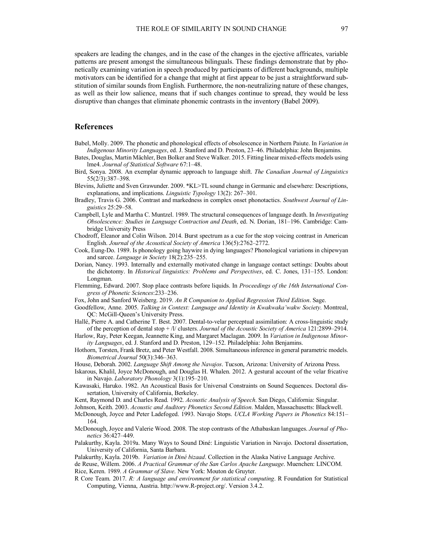speakers are leading the changes, and in the case of the changes in the ejective affricates, variable patterns are present amongst the simultaneous bilinguals. These findings demonstrate that by phonetically examining variation in speech produced by participants of different backgrounds, multiple motivators can be identified for a change that might at first appear to be just a straightforward substitution of similar sounds from English. Furthermore, the non-neutralizing nature of these changes, as well as their low salience, means that if such changes continue to spread, they would be less disruptive than changes that eliminate phonemic contrasts in the inventory (Babel 2009).

# **References**

- Babel, Molly. 2009. The phonetic and phonological effects of obsolescence in Northern Paiute. In *Variation in Indigenous Minority Languages*, ed. J. Stanford and D. Preston, 23–46. Philadelphia: John Benjamins.
- Bates, Douglas, Martin Mächler, Ben Bolker and Steve Walker. 2015. Fitting linear mixed-effects models using lme4. *Journal of Statistical Software* 67:1–48.
- Bird, Sonya. 2008. An exemplar dynamic approach to language shift. *The Canadian Journal of Linguistics* 55(2/3):387–398.
- Blevins, Juliette and Sven Grawunder. 2009. \*KL>TL sound change in Germanic and elsewhere: Descriptions, explanations, and implications. *Linguistic Typology* 13(2): 267–301.
- Bradley, Travis G. 2006. Contrast and markedness in complex onset phonotactics. *Southwest Journal of Linguistics* 25:29–58.
- Campbell, Lyle and Martha C. Muntzel. 1989. The structural consequences of language death. In *Investigating Obsolescence: Studies in Language Contraction and Death*, ed. N. Dorian, 181–196. Cambridge: Cambridge University Press
- Chodroff, Eleanor and Colin Wilson. 2014. Burst spectrum as a cue for the stop voicing contrast in American English. *Journal of the Acoustical Society of America* 136(5):2762–2772.
- Cook, Eung-Do. 1989. Is phonology going haywire in dying languages? Phonological variations in chipewyan and sarcee. *Language in Society* 18(2):235–255.
- Dorian, Nancy. 1993. Internally and externally motivated change in language contact settings: Doubts about the dichotomy. In *Historical linguistics: Problems and Perspectives*, ed. C. Jones, 131–155. London: Longman.
- Flemming, Edward. 2007. Stop place contrasts before liquids. In *Proceedings of the 16th International Congress of Phonetic Sciences*:233–236.
- Fox, John and Sanford Weisberg. 2019. *An R Companion to Applied Regression Third Edition*. Sage.
- Goodfellow, Anne. 2005. *Talking in Context: Language and Identity in Kwakwaka'wakw Society*. Montreal, QC: McGill-Queen's University Press.
- Hallé, Pierre A. and Catherine T. Best. 2007. Dental-to-velar perceptual assimilation: A cross-linguistic study of the perception of dental stop + /l/ clusters. *Journal of the Acoustic Society of America* 121:2899–2914.
- Harlow, Ray, Peter Keegan, Jeannette King, and Margaret Maclagan. 2009. In *Variation in Indigenous Minority Languages*, ed. J. Stanford and D. Preston, 129–152. Philadelphia: John Benjamins.
- Hothorn, Torsten, Frank Bretz, and Peter Westfall. 2008. Simultaneous inference in general parametric models. *Biometrical Journal* 50(3):346–363.
- House, Deborah. 2002. *Language Shift Among the Navajos*. Tucson, Arizona: University of Arizona Press.
- Iskarous, Khalil, Joyce McDonough, and Douglas H. Whalen. 2012. A gestural account of the velar fricative in Navajo. *Laboratory Phonology* 3(1):195–210.
- Kawasaki, Haruko. 1982. An Acoustical Basis for Universal Constraints on Sound Sequences. Doctoral dissertation, University of California, Berkeley.

Kent, Raymond D. and Charles Read. 1992. *Acoustic Analysis of Speech*. San Diego, California: Singular.

- Johnson, Keith. 2003. *Acoustic and Auditory Phonetics Second Edition*. Malden, Massachusetts: Blackwell.
- McDonough, Joyce and Peter Ladefoged. 1993. Navajo Stops. *UCLA Working Papers in Phonetics* 84:151– 164.
- McDonough, Joyce and Valerie Wood. 2008. The stop contrasts of the Athabaskan languages. *Journal of Phonetics* 36:427–449.
- Palakurthy, Kayla. 2019a. Many Ways to Sound Diné: Linguistic Variation in Navajo. Doctoral dissertation, University of California, Santa Barbara.

Palakurthy, Kayla. 2019b. *Variation in Diné bizaad*. Collection in the Alaska Native Language Archive.

de Reuse, Willem. 2006. *A Practical Grammar of the San Carlos Apache Language*. Muenchen: LINCOM. Rice, Keren. 1989. *A Grammar of Slave*. New York: Mouton de Gruyter.

R Core Team. 2017. *R: A language and environment for statistical computing*. R Foundation for Statistical Computing, Vienna, Austria. http://www.R-project.org/. Version 3.4.2.